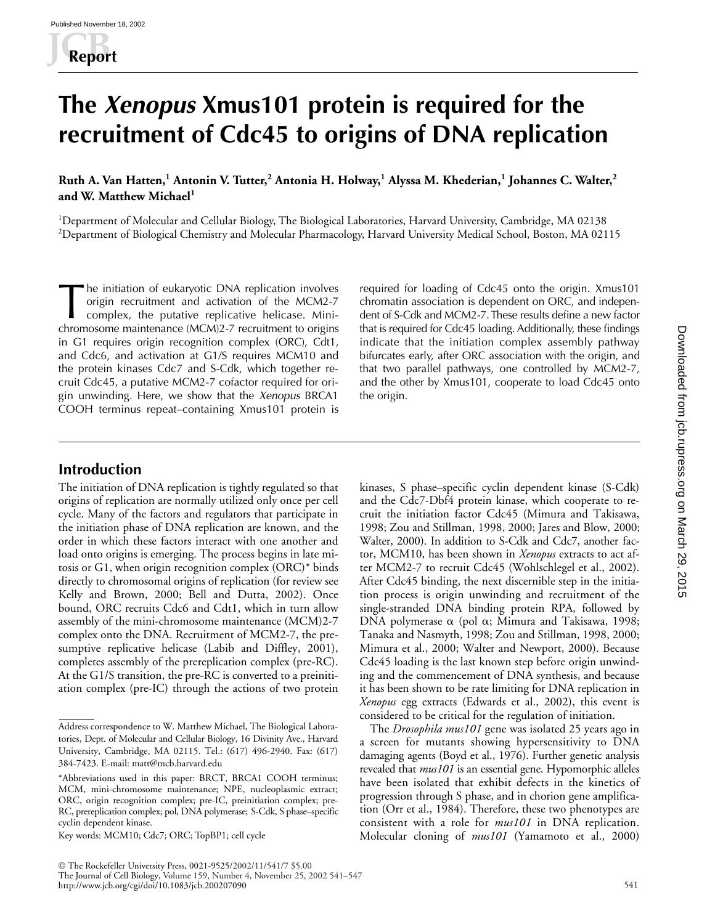# **The** *Xenopus* **Xmus101 protein is required for the recruitment of Cdc45 to origins of DNA replication**

**Ruth A. Van Hatten,<sup>1</sup> Antonin V. Tutter,<sup>2</sup> Antonia H. Holway,<sup>1</sup> Alyssa M. Khederian,<sup>1</sup> Johannes C. Walter,<sup>2</sup> and W. Matthew Michael<sup>1</sup>**

<sup>1</sup>Department of Molecular and Cellular Biology, The Biological Laboratories, Harvard University, Cambridge, MA 02138 2 Department of Biological Chemistry and Molecular Pharmacology, Harvard University Medical School, Boston, MA 02115

he initiation of eukaryotic DNA replication involves origin recruitment and activation of the MCM2-7 complex, the putative replicative helicase. Minichromosome maintenance (MCM)2-7 recruitment to origins in G1 requires origin recognition complex (ORC), Cdt1, and Cdc6, and activation at G1/S requires MCM10 and the protein kinases Cdc7 and S-Cdk, which together recruit Cdc45, a putative MCM2-7 cofactor required for origin unwinding. Here, we show that the *Xenopus* BRCA1 COOH terminus repeat–containing Xmus101 protein is The initiation of eukaryotic DNA replication involves required for loading of Cdc45 onto the origin. Xmus101<br>origin recruitment and activation of the MCM2-7 chromatin association is dependent on ORC, and indepen-<br>complex,

chromatin association is dependent on ORC, and independent of S-Cdk and MCM2-7. These results define a new factor that is required for Cdc45 loading. Additionally, these findings indicate that the initiation complex assembly pathway bifurcates early, after ORC association with the origin, and that two parallel pathways, one controlled by MCM2-7, and the other by Xmus101, cooperate to load Cdc45 onto the origin.

## **Introduction**

The initiation of DNA replication is tightly regulated so that origins of replication are normally utilized only once per cell cycle. Many of the factors and regulators that participate in the initiation phase of DNA replication are known, and the order in which these factors interact with one another and load onto origins is emerging. The process begins in late mitosis or G1, when origin recognition complex (ORC)\* binds directly to chromosomal origins of replication (for review see Kelly and Brown, 2000; Bell and Dutta, 2002). Once bound, ORC recruits Cdc6 and Cdt1, which in turn allow assembly of the mini-chromosome maintenance (MCM)2-7 complex onto the DNA. Recruitment of MCM2-7, the presumptive replicative helicase (Labib and Diffley, 2001), completes assembly of the prereplication complex (pre-RC). At the G1/S transition, the pre-RC is converted to a preinitiation complex (pre-IC) through the actions of two protein

Key words: MCM10; Cdc7; ORC; TopBP1; cell cycle

kinases, S phase–specific cyclin dependent kinase (S-Cdk) and the Cdc7-Dbf4 protein kinase, which cooperate to recruit the initiation factor Cdc45 (Mimura and Takisawa, 1998; Zou and Stillman, 1998, 2000; Jares and Blow, 2000; Walter, 2000). In addition to S-Cdk and Cdc7, another factor, MCM10, has been shown in *Xenopus* extracts to act after MCM2-7 to recruit Cdc45 (Wohlschlegel et al., 2002). After Cdc45 binding, the next discernible step in the initiation process is origin unwinding and recruitment of the single-stranded DNA binding protein RPA, followed by DNA polymerase  $\alpha$  (pol  $\alpha$ ; Mimura and Takisawa, 1998; Tanaka and Nasmyth, 1998; Zou and Stillman, 1998, 2000; Mimura et al., 2000; Walter and Newport, 2000). Because Cdc45 loading is the last known step before origin unwinding and the commencement of DNA synthesis, and because it has been shown to be rate limiting for DNA replication in *Xenopus* egg extracts (Edwards et al., 2002), this event is considered to be critical for the regulation of initiation.

The *Drosophila mus101* gene was isolated 25 years ago in a screen for mutants showing hypersensitivity to DNA damaging agents (Boyd et al., 1976). Further genetic analysis revealed that *mus101* is an essential gene. Hypomorphic alleles have been isolated that exhibit defects in the kinetics of progression through S phase, and in chorion gene amplification (Orr et al., 1984). Therefore, these two phenotypes are consistent with a role for *mus101* in DNA replication. Molecular cloning of *mus101* (Yamamoto et al., 2000)

http://www.jcb.org/cgi/doi/10.1083/jcb.200207090 541

Address correspondence to W. Matthew Michael, The Biological Laboratories, Dept. of Molecular and Cellular Biology, 16 Divinity Ave., Harvard University, Cambridge, MA 02115. Tel.: (617) 496-2940. Fax: (617) 384-7423. E-mail: matt@mcb.harvard.edu

<sup>\*</sup>Abbreviations used in this paper: BRCT, BRCA1 COOH terminus; MCM, mini-chromosome maintenance; NPE, nucleoplasmic extract; ORC, origin recognition complex; pre-IC, preinitiation complex; pre-RC, prereplication complex; pol, DNA polymerase; S-Cdk, S phase–specific cyclin dependent kinase.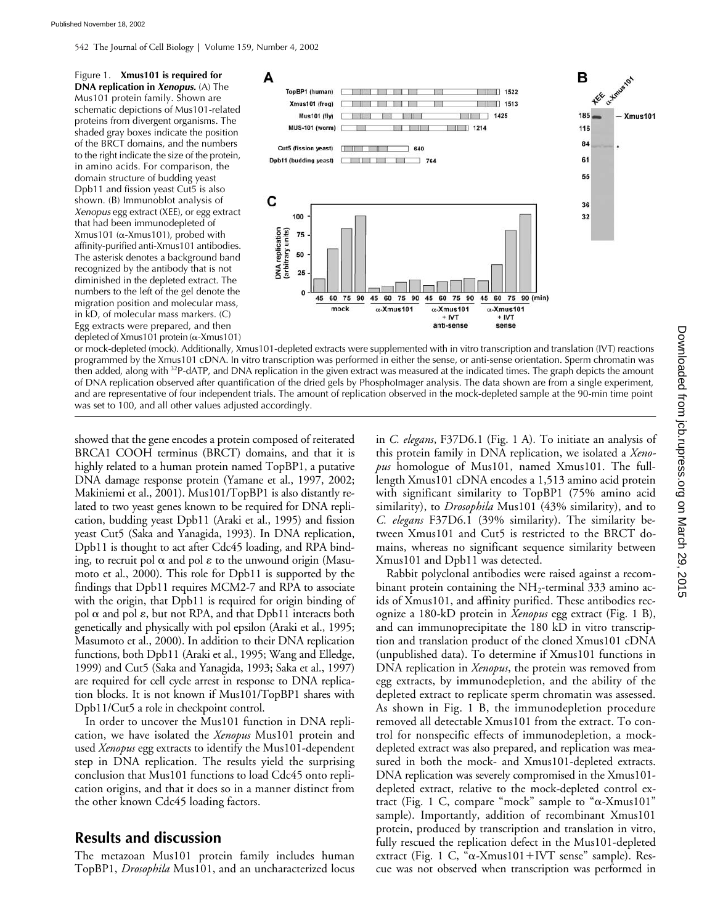542 The Journal of Cell Biology **|** Volume 159, Number 4, 2002

Figure 1. **Xmus101 is required for DNA replication in** *Xenopus.* (A) The Mus101 protein family. Shown are schematic depictions of Mus101-related proteins from divergent organisms. The shaded gray boxes indicate the position of the BRCT domains, and the numbers to the right indicate the size of the protein, in amino acids. For comparison, the domain structure of budding yeast Dpb11 and fission yeast Cut5 is also shown. (B) Immunoblot analysis of *Xenopus* egg extract (XEE), or egg extract that had been immunodepleted of  $X$ mus101 ( $\alpha$ -Xmus101), probed with affinity-purified anti-Xmus101 antibodies. The asterisk denotes a background band recognized by the antibody that is not diminished in the depleted extract. The numbers to the left of the gel denote the migration position and molecular mass, in kD, of molecular mass markers. (C) Egg extracts were prepared, and then depleted of Xmus101 protein ( $\alpha$ -Xmus101)



or mock-depleted (mock). Additionally, Xmus101-depleted extracts were supplemented with in vitro transcription and translation (IVT) reactions programmed by the Xmus101 cDNA. In vitro transcription was performed in either the sense, or anti-sense orientation. Sperm chromatin was then added, along with <sup>32</sup>P-dATP, and DNA replication in the given extract was measured at the indicated times. The graph depicts the amount of DNA replication observed after quantification of the dried gels by PhosphoImager analysis. The data shown are from a single experiment, and are representative of four independent trials. The amount of replication observed in the mock-depleted sample at the 90-min time point was set to 100, and all other values adjusted accordingly.

showed that the gene encodes a protein composed of reiterated BRCA1 COOH terminus (BRCT) domains, and that it is highly related to a human protein named TopBP1, a putative DNA damage response protein (Yamane et al., 1997, 2002; Makiniemi et al., 2001). Mus101/TopBP1 is also distantly related to two yeast genes known to be required for DNA replication, budding yeast Dpb11 (Araki et al., 1995) and fission yeast Cut5 (Saka and Yanagida, 1993). In DNA replication, Dpb11 is thought to act after Cdc45 loading, and RPA binding, to recruit pol  $\alpha$  and pol  $\varepsilon$  to the unwound origin (Masumoto et al., 2000). This role for Dpb11 is supported by the findings that Dpb11 requires MCM2-7 and RPA to associate with the origin, that Dpb11 is required for origin binding of pol  $\alpha$  and pol  $\varepsilon$ , but not RPA, and that Dpb11 interacts both genetically and physically with pol epsilon (Araki et al., 1995; Masumoto et al., 2000). In addition to their DNA replication functions, both Dpb11 (Araki et al., 1995; Wang and Elledge, 1999) and Cut5 (Saka and Yanagida, 1993; Saka et al., 1997) are required for cell cycle arrest in response to DNA replication blocks. It is not known if Mus101/TopBP1 shares with Dpb11/Cut5 a role in checkpoint control.

In order to uncover the Mus101 function in DNA replication, we have isolated the *Xenopus* Mus101 protein and used *Xenopus* egg extracts to identify the Mus101-dependent step in DNA replication. The results yield the surprising conclusion that Mus101 functions to load Cdc45 onto replication origins, and that it does so in a manner distinct from the other known Cdc45 loading factors.

### **Results and discussion**

The metazoan Mus101 protein family includes human TopBP1, *Drosophila* Mus101, and an uncharacterized locus

in *C. elegans*, F37D6.1 (Fig. 1 A)*.* To initiate an analysis of this protein family in DNA replication, we isolated a *Xenopus* homologue of Mus101, named Xmus101. The fulllength Xmus101 cDNA encodes a 1,513 amino acid protein with significant similarity to TopBP1 (75% amino acid similarity), to *Drosophila* Mus101 (43% similarity), and to *C. elegans* F37D6.1 (39% similarity). The similarity between Xmus101 and Cut5 is restricted to the BRCT domains, whereas no significant sequence similarity between Xmus101 and Dpb11 was detected.

Rabbit polyclonal antibodies were raised against a recombinant protein containing the  $NH_2$ -terminal 333 amino acids of Xmus101, and affinity purified. These antibodies recognize a 180-kD protein in *Xenopus* egg extract (Fig. 1 B), and can immunoprecipitate the 180 kD in vitro transcription and translation product of the cloned Xmus101 cDNA (unpublished data). To determine if Xmus101 functions in DNA replication in *Xenopus*, the protein was removed from egg extracts, by immunodepletion, and the ability of the depleted extract to replicate sperm chromatin was assessed. As shown in Fig. 1 B, the immunodepletion procedure removed all detectable Xmus101 from the extract. To control for nonspecific effects of immunodepletion, a mockdepleted extract was also prepared, and replication was measured in both the mock- and Xmus101-depleted extracts. DNA replication was severely compromised in the Xmus101 depleted extract, relative to the mock-depleted control extract (Fig. 1 C, compare "mock" sample to " $\alpha$ -Xmus101" sample). Importantly, addition of recombinant Xmus101 protein, produced by transcription and translation in vitro, fully rescued the replication defect in the Mus101-depleted extract (Fig. 1 C, "α-Xmus101+IVT sense" sample). Rescue was not observed when transcription was performed in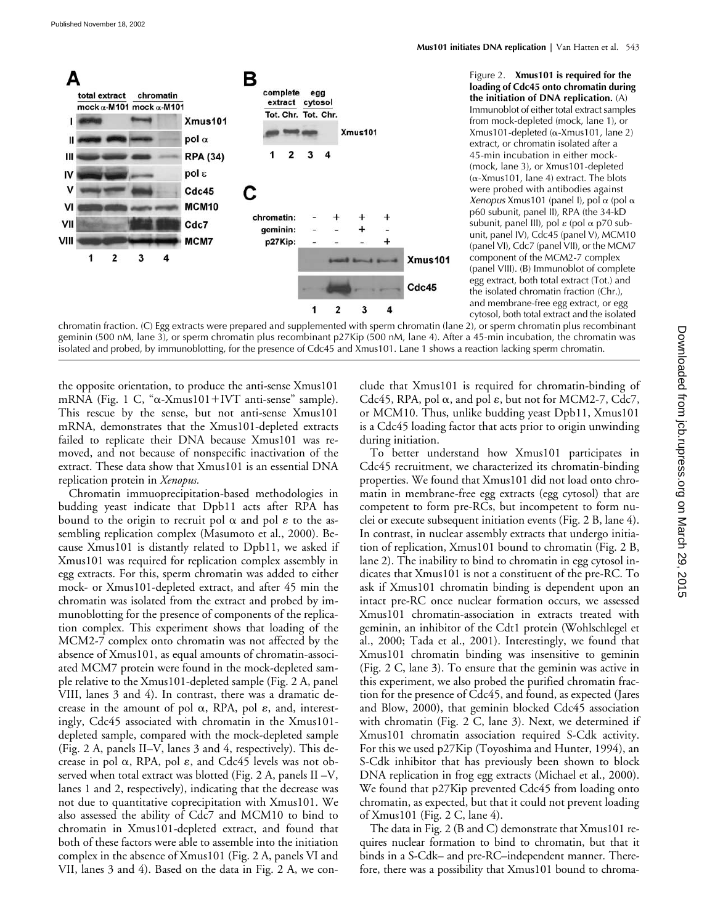

Figure 2. **Xmus101 is required for the loading of Cdc45 onto chromatin during the initiation of DNA replication.** (A) Immunoblot of either total extract samples from mock-depleted (mock, lane 1), or  $Xmus101-depleted (\alpha-Xmus101, lane 2)$ extract, or chromatin isolated after a 45-min incubation in either mock- (mock, lane 3), or Xmus101-depleted  $(\alpha$ -Xmus101, lane 4) extract. The blots were probed with antibodies against  $Xenopus$  Xmus101 (panel I), pol  $\alpha$  (pol  $\alpha$ p60 subunit, panel II), RPA (the 34-kD subunit, panel III), pol  $\varepsilon$  (pol  $\alpha$  p70 subunit, panel IV), Cdc45 (panel V), MCM10 (panel VI), Cdc7 (panel VII), or the MCM7 component of the MCM2-7 complex (panel VIII). (B) Immunoblot of complete egg extract, both total extract (Tot.) and the isolated chromatin fraction (Chr.), and membrane-free egg extract, or egg cytosol, both total extract and the isolated

chromatin fraction. (C) Egg extracts were prepared and supplemented with sperm chromatin (lane 2), or sperm chromatin plus recombinant geminin (500 nM, lane 3), or sperm chromatin plus recombinant p27Kip (500 nM, lane 4). After a 45-min incubation, the chromatin was isolated and probed, by immunoblotting, for the presence of Cdc45 and Xmus101. Lane 1 shows a reaction lacking sperm chromatin.

the opposite orientation, to produce the anti-sense Xmus101 mRNA (Fig. 1 C, "a-Xmus101+IVT anti-sense" sample). This rescue by the sense, but not anti-sense Xmus101 mRNA, demonstrates that the Xmus101-depleted extracts failed to replicate their DNA because Xmus101 was removed, and not because of nonspecific inactivation of the extract. These data show that Xmus101 is an essential DNA replication protein in *Xenopus.*

Chromatin immuoprecipitation-based methodologies in budding yeast indicate that Dpb11 acts after RPA has bound to the origin to recruit pol  $\alpha$  and pol  $\varepsilon$  to the assembling replication complex (Masumoto et al., 2000). Because Xmus101 is distantly related to Dpb11, we asked if Xmus101 was required for replication complex assembly in egg extracts. For this, sperm chromatin was added to either mock- or Xmus101-depleted extract, and after 45 min the chromatin was isolated from the extract and probed by immunoblotting for the presence of components of the replication complex. This experiment shows that loading of the MCM2-7 complex onto chromatin was not affected by the absence of Xmus101, as equal amounts of chromatin-associated MCM7 protein were found in the mock-depleted sample relative to the Xmus101-depleted sample (Fig. 2 A, panel VIII, lanes 3 and 4). In contrast, there was a dramatic decrease in the amount of pol  $\alpha$ , RPA, pol  $\varepsilon$ , and, interestingly, Cdc45 associated with chromatin in the Xmus101 depleted sample, compared with the mock-depleted sample (Fig. 2 A, panels II–V, lanes 3 and 4, respectively). This decrease in pol  $\alpha$ , RPA, pol  $\varepsilon$ , and Cdc45 levels was not observed when total extract was blotted (Fig. 2 A, panels II –V, lanes 1 and 2, respectively), indicating that the decrease was not due to quantitative coprecipitation with Xmus101. We also assessed the ability of Cdc7 and MCM10 to bind to chromatin in Xmus101-depleted extract, and found that both of these factors were able to assemble into the initiation complex in the absence of Xmus101 (Fig. 2 A, panels VI and VII, lanes 3 and 4). Based on the data in Fig. 2 A, we conclude that Xmus101 is required for chromatin-binding of Cdc45, RPA, pol  $\alpha$ , and pol  $\varepsilon$ , but not for MCM2-7, Cdc7, or MCM10. Thus, unlike budding yeast Dpb11, Xmus101 is a Cdc45 loading factor that acts prior to origin unwinding during initiation.

To better understand how Xmus101 participates in Cdc45 recruitment, we characterized its chromatin-binding properties. We found that Xmus101 did not load onto chromatin in membrane-free egg extracts (egg cytosol) that are competent to form pre-RCs, but incompetent to form nuclei or execute subsequent initiation events (Fig. 2 B, lane 4). In contrast, in nuclear assembly extracts that undergo initiation of replication, Xmus101 bound to chromatin (Fig. 2 B, lane 2). The inability to bind to chromatin in egg cytosol indicates that Xmus101 is not a constituent of the pre-RC. To ask if Xmus101 chromatin binding is dependent upon an intact pre-RC once nuclear formation occurs, we assessed Xmus101 chromatin-association in extracts treated with geminin, an inhibitor of the Cdt1 protein (Wohlschlegel et al., 2000; Tada et al., 2001). Interestingly, we found that Xmus101 chromatin binding was insensitive to geminin (Fig. 2 C, lane 3). To ensure that the geminin was active in this experiment, we also probed the purified chromatin fraction for the presence of Cdc45, and found, as expected (Jares and Blow, 2000), that geminin blocked Cdc45 association with chromatin (Fig. 2 C, lane 3). Next, we determined if Xmus101 chromatin association required S-Cdk activity. For this we used p27Kip (Toyoshima and Hunter, 1994), an S-Cdk inhibitor that has previously been shown to block DNA replication in frog egg extracts (Michael et al., 2000). We found that p27Kip prevented Cdc45 from loading onto chromatin, as expected, but that it could not prevent loading of Xmus101 (Fig. 2 C, lane 4).

The data in Fig. 2 (B and C) demonstrate that Xmus101 requires nuclear formation to bind to chromatin, but that it binds in a S-Cdk– and pre-RC–independent manner. Therefore, there was a possibility that Xmus101 bound to chroma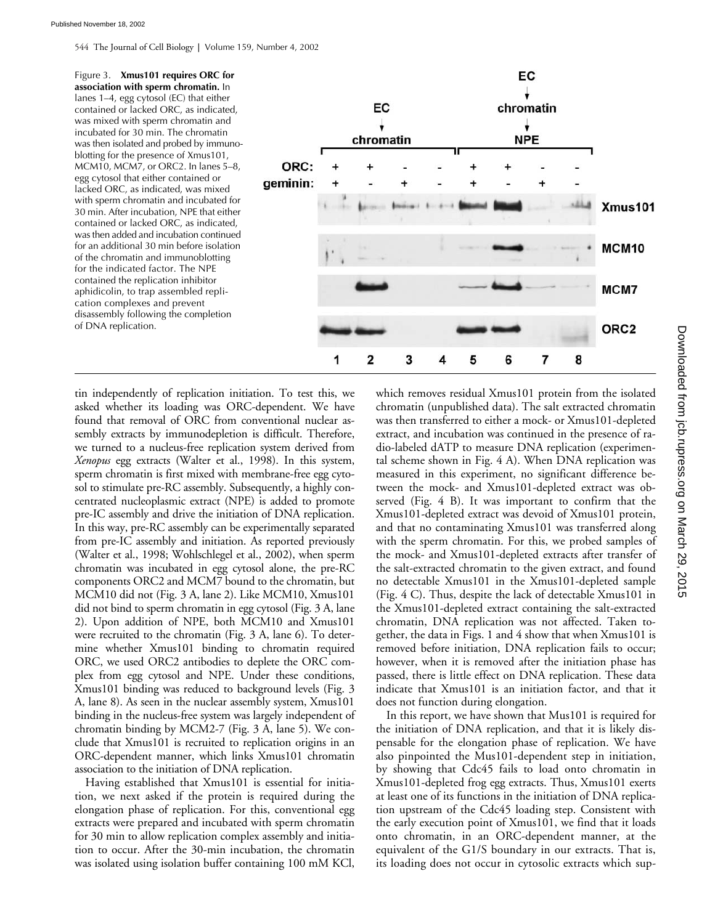544 The Journal of Cell Biology **|** Volume 159, Number 4, 2002



tin independently of replication initiation. To test this, we asked whether its loading was ORC-dependent. We have found that removal of ORC from conventional nuclear assembly extracts by immunodepletion is difficult. Therefore, we turned to a nucleus-free replication system derived from *Xenopus* egg extracts (Walter et al., 1998). In this system, sperm chromatin is first mixed with membrane-free egg cytosol to stimulate pre-RC assembly. Subsequently, a highly concentrated nucleoplasmic extract (NPE) is added to promote pre-IC assembly and drive the initiation of DNA replication. In this way, pre-RC assembly can be experimentally separated from pre-IC assembly and initiation. As reported previously (Walter et al., 1998; Wohlschlegel et al., 2002), when sperm chromatin was incubated in egg cytosol alone, the pre-RC components ORC2 and MCM7 bound to the chromatin, but MCM10 did not (Fig. 3 A, lane 2). Like MCM10, Xmus101 did not bind to sperm chromatin in egg cytosol (Fig. 3 A, lane 2). Upon addition of NPE, both MCM10 and Xmus101 were recruited to the chromatin (Fig. 3 A, lane 6). To determine whether Xmus101 binding to chromatin required ORC, we used ORC2 antibodies to deplete the ORC complex from egg cytosol and NPE. Under these conditions, Xmus101 binding was reduced to background levels (Fig. 3 A, lane 8). As seen in the nuclear assembly system, Xmus101 binding in the nucleus-free system was largely independent of chromatin binding by MCM2-7 (Fig. 3 A, lane 5). We conclude that Xmus101 is recruited to replication origins in an ORC-dependent manner, which links Xmus101 chromatin association to the initiation of DNA replication.

Having established that Xmus101 is essential for initiation, we next asked if the protein is required during the elongation phase of replication. For this, conventional egg extracts were prepared and incubated with sperm chromatin for 30 min to allow replication complex assembly and initiation to occur. After the 30-min incubation, the chromatin was isolated using isolation buffer containing 100 mM KCl, which removes residual Xmus101 protein from the isolated chromatin (unpublished data). The salt extracted chromatin was then transferred to either a mock- or Xmus101-depleted extract, and incubation was continued in the presence of radio-labeled dATP to measure DNA replication (experimental scheme shown in Fig. 4 A). When DNA replication was measured in this experiment, no significant difference between the mock- and Xmus101-depleted extract was observed (Fig. 4 B). It was important to confirm that the Xmus101-depleted extract was devoid of Xmus101 protein, and that no contaminating Xmus101 was transferred along with the sperm chromatin. For this, we probed samples of the mock- and Xmus101-depleted extracts after transfer of the salt-extracted chromatin to the given extract, and found no detectable Xmus101 in the Xmus101-depleted sample (Fig. 4 C). Thus, despite the lack of detectable Xmus101 in the Xmus101-depleted extract containing the salt-extracted chromatin, DNA replication was not affected. Taken together, the data in Figs. 1 and 4 show that when Xmus101 is removed before initiation, DNA replication fails to occur; however, when it is removed after the initiation phase has passed, there is little effect on DNA replication. These data indicate that Xmus101 is an initiation factor, and that it does not function during elongation.

In this report, we have shown that Mus101 is required for the initiation of DNA replication, and that it is likely dispensable for the elongation phase of replication. We have also pinpointed the Mus101-dependent step in initiation, by showing that Cdc45 fails to load onto chromatin in Xmus101-depleted frog egg extracts. Thus, Xmus101 exerts at least one of its functions in the initiation of DNA replication upstream of the Cdc45 loading step. Consistent with the early execution point of Xmus101, we find that it loads onto chromatin, in an ORC-dependent manner, at the equivalent of the G1/S boundary in our extracts. That is, its loading does not occur in cytosolic extracts which sup-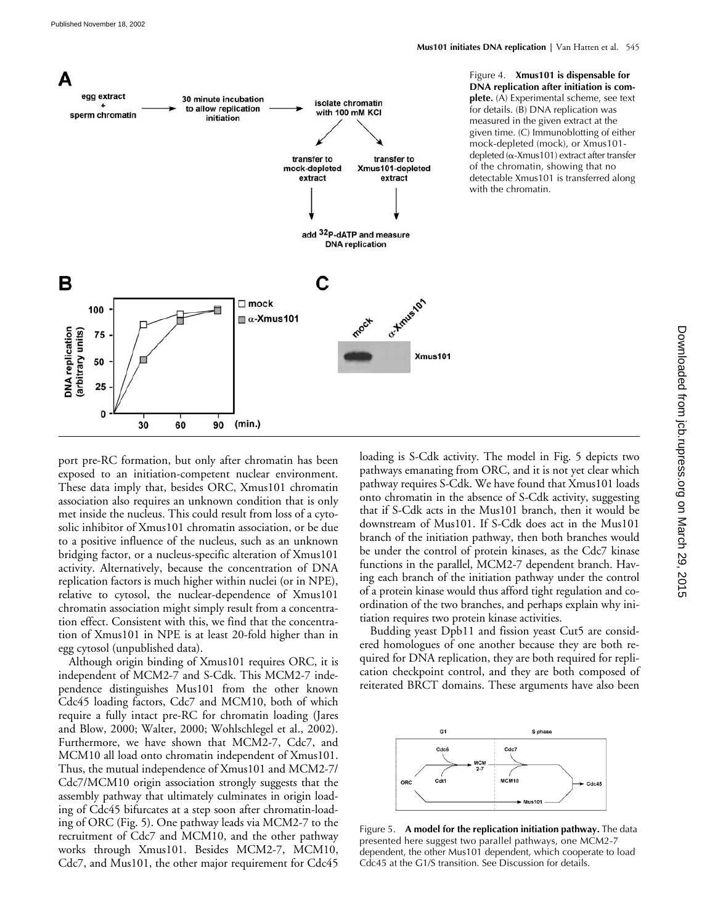

Figure 4. **Xmus101 is dispensable for DNA replication after initiation is complete.** (A) Experimental scheme, see text for details. (B) DNA replication was measured in the given extract at the given time. (C) Immunoblotting of either mock-depleted (mock), or Xmus101  $depleted$  ( $\alpha$ -Xmus101) extract after transfer of the chromatin, showing that no detectable Xmus101 is transferred along with the chromatin.

port pre-RC formation, but only after chromatin has been exposed to an initiation-competent nuclear environment. These data imply that, besides ORC, Xmus101 chromatin association also requires an unknown condition that is only met inside the nucleus. This could result from loss of a cytosolic inhibitor of Xmus101 chromatin association, or be due to a positive influence of the nucleus, such as an unknown bridging factor, or a nucleus-specific alteration of Xmus101 activity. Alternatively, because the concentration of DNA replication factors is much higher within nuclei (or in NPE), relative to cytosol, the nuclear-dependence of Xmus101 chromatin association might simply result from a concentration effect. Consistent with this, we find that the concentration of Xmus101 in NPE is at least 20-fold higher than in egg cytosol (unpublished data).

Although origin binding of Xmus101 requires ORC, it is independent of MCM2-7 and S-Cdk. This MCM2-7 independence distinguishes Mus101 from the other known Cdc45 loading factors, Cdc7 and MCM10, both of which require a fully intact pre-RC for chromatin loading (Jares and Blow, 2000; Walter, 2000; Wohlschlegel et al., 2002). Furthermore, we have shown that MCM2-7, Cdc7, and MCM10 all load onto chromatin independent of Xmus101. Thus, the mutual independence of Xmus101 and MCM2-7/ Cdc7/MCM10 origin association strongly suggests that the assembly pathway that ultimately culminates in origin loading of Cdc45 bifurcates at a step soon after chromatin-loading of ORC (Fig. 5). One pathway leads via MCM2-7 to the recruitment of Cdc7 and MCM10, and the other pathway works through Xmus101. Besides MCM2-7, MCM10, Cdc7, and Mus101, the other major requirement for Cdc45

loading is S-Cdk activity. The model in Fig. 5 depicts two pathways emanating from ORC, and it is not yet clear which pathway requires S-Cdk. We have found that Xmus101 loads onto chromatin in the absence of S-Cdk activity, suggesting that if S-Cdk acts in the Mus101 branch, then it would be downstream of Mus101. If S-Cdk does act in the Mus101 branch of the initiation pathway, then both branches would be under the control of protein kinases, as the Cdc7 kinase functions in the parallel, MCM2-7 dependent branch. Having each branch of the initiation pathway under the control of a protein kinase would thus afford tight regulation and coordination of the two branches, and perhaps explain why initiation requires two protein kinase activities.

Budding yeast Dpb11 and fission yeast Cut5 are considered homologues of one another because they are both required for DNA replication, they are both required for replication checkpoint control, and they are both composed of reiterated BRCT domains. These arguments have also been



Figure 5. **A model for the replication initiation pathway.** The data presented here suggest two parallel pathways, one MCM2-7 dependent, the other Mus101 dependent, which cooperate to load Cdc45 at the G1/S transition. See Discussion for details.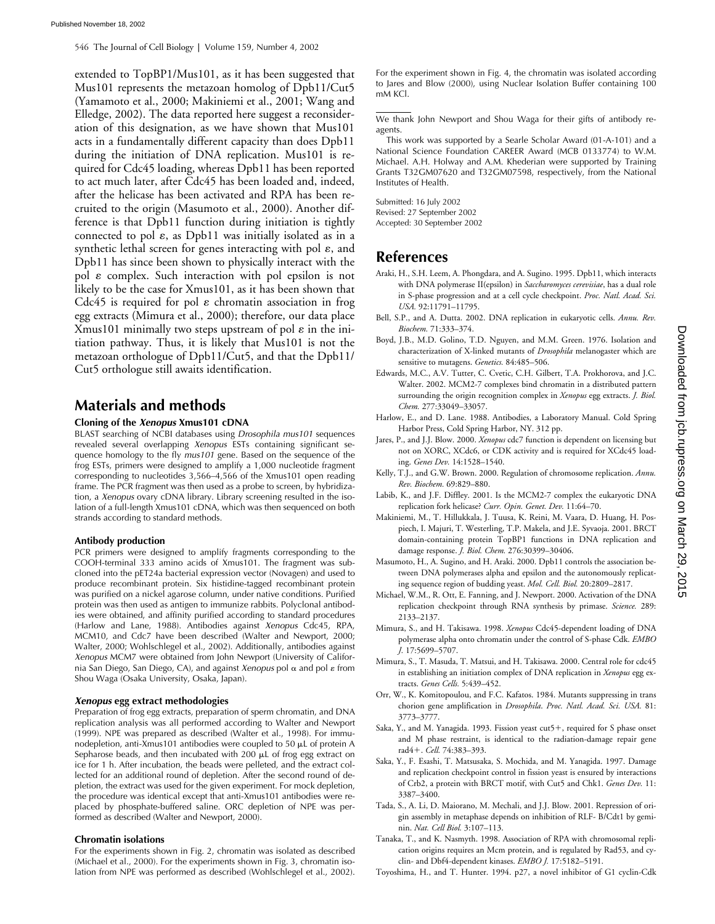546 The Journal of Cell Biology **|** Volume 159, Number 4, 2002

extended to TopBP1/Mus101, as it has been suggested that Mus101 represents the metazoan homolog of Dpb11/Cut5 (Yamamoto et al., 2000; Makiniemi et al., 2001; Wang and Elledge, 2002). The data reported here suggest a reconsideration of this designation, as we have shown that Mus101 acts in a fundamentally different capacity than does Dpb11 during the initiation of DNA replication. Mus101 is required for Cdc45 loading, whereas Dpb11 has been reported to act much later, after Cdc45 has been loaded and, indeed, after the helicase has been activated and RPA has been recruited to the origin (Masumoto et al., 2000). Another difference is that Dpb11 function during initiation is tightly connected to pol  $\varepsilon$ , as Dpb11 was initially isolated as in a synthetic lethal screen for genes interacting with pol  $\varepsilon$ , and Dpb11 has since been shown to physically interact with the pol  $\varepsilon$  complex. Such interaction with pol epsilon is not likely to be the case for Xmus101, as it has been shown that Cdc45 is required for pol  $\varepsilon$  chromatin association in frog egg extracts (Mimura et al., 2000); therefore, our data place Xmus101 minimally two steps upstream of pol  $\varepsilon$  in the initiation pathway. Thus, it is likely that Mus101 is not the metazoan orthologue of Dpb11/Cut5, and that the Dpb11/ Cut5 orthologue still awaits identification.

## **Materials and methods**

#### **Cloning of the** *Xenopus* **Xmus101 cDNA**

BLAST searching of NCBI databases using *Drosophila mus101* sequences revealed several overlapping *Xenopus* ESTs containing significant sequence homology to the fly *mus101* gene. Based on the sequence of the frog ESTs, primers were designed to amplify a 1,000 nucleotide fragment corresponding to nucleotides 3,566–4,566 of the Xmus101 open reading frame. The PCR fragment was then used as a probe to screen, by hybridization, a *Xenopus* ovary cDNA library. Library screening resulted in the isolation of a full-length Xmus101 cDNA, which was then sequenced on both strands according to standard methods.

#### **Antibody production**

PCR primers were designed to amplify fragments corresponding to the COOH-terminal 333 amino acids of Xmus101. The fragment was subcloned into the pET24a bacterial expression vector (Novagen) and used to produce recombinant protein. Six histidine-tagged recombinant protein was purified on a nickel agarose column, under native conditions. Purified protein was then used as antigen to immunize rabbits. Polyclonal antibodies were obtained, and affinity purified according to standard procedures (Harlow and Lane, 1988). Antibodies against *Xenopus* Cdc45, RPA, MCM10, and Cdc7 have been described (Walter and Newport, 2000; Walter, 2000; Wohlschlegel et al., 2002). Additionally, antibodies against *Xenopus* MCM7 were obtained from John Newport (University of California San Diego, San Diego, CA), and against *Xenopus* pol  $\alpha$  and pol  $\varepsilon$  from Shou Waga (Osaka University, Osaka, Japan).

#### *Xenopus* **egg extract methodologies**

Preparation of frog egg extracts, preparation of sperm chromatin, and DNA replication analysis was all performed according to Walter and Newport (1999). NPE was prepared as described (Walter et al., 1998). For immunodepletion, anti-Xmus101 antibodies were coupled to 50  $\mu$ L of protein A Sepharose beads, and then incubated with 200  $\mu$ L of frog egg extract on ice for 1 h. After incubation, the beads were pelleted, and the extract collected for an additional round of depletion. After the second round of depletion, the extract was used for the given experiment. For mock depletion, the procedure was identical except that anti-Xmus101 antibodies were replaced by phosphate-buffered saline. ORC depletion of NPE was performed as described (Walter and Newport, 2000).

#### **Chromatin isolations**

For the experiments shown in Fig. 2, chromatin was isolated as described (Michael et al., 2000). For the experiments shown in Fig. 3, chromatin isolation from NPE was performed as described (Wohlschlegel et al., 2002).

For the experiment shown in Fig. 4, the chromatin was isolated according to Jares and Blow (2000), using Nuclear Isolation Buffer containing  $100$ mM KCl.

We thank John Newport and Shou Waga for their gifts of antibody reagents.

This work was supported by a Searle Scholar Award (01-A-101) and a National Science Foundation CAREER Award (MCB 0133774) to W.M. Michael. A.H. Holway and A.M. Khederian were supported by Training Grants T32GM07620 and T32GM07598, respectively, from the National Institutes of Health.

Submitted: 16 July 2002 Revised: 27 September 2002 Accepted: 30 September 2002

## **References**

- Araki, H., S.H. Leem, A. Phongdara, and A. Sugino. 1995. Dpb11, which interacts with DNA polymerase II(epsilon) in *Saccharomyces cerevisiae*, has a dual role in S-phase progression and at a cell cycle checkpoint. *Proc. Natl. Acad. Sci. USA.* 92:11791–11795.
- Bell, S.P., and A. Dutta. 2002. DNA replication in eukaryotic cells. *Annu. Rev. Biochem.* 71:333–374.
- Boyd, J.B., M.D. Golino, T.D. Nguyen, and M.M. Green. 1976. Isolation and characterization of X-linked mutants of *Drosophila* melanogaster which are sensitive to mutagens. *Genetics.* 84:485–506.
- Edwards, M.C., A.V. Tutter, C. Cvetic, C.H. Gilbert, T.A. Prokhorova, and J.C. Walter. 2002. MCM2-7 complexes bind chromatin in a distributed pattern surrounding the origin recognition complex in *Xenopus* egg extracts. *J. Biol. Chem.* 277:33049–33057.
- Harlow, E., and D. Lane. 1988. Antibodies, a Laboratory Manual. Cold Spring Harbor Press, Cold Spring Harbor, NY. 312 pp.
- Jares, P., and J.J. Blow. 2000. *Xenopus* cdc7 function is dependent on licensing but not on XORC, XCdc6, or CDK activity and is required for XCdc45 loading. *Genes Dev.* 14:1528–1540.
- Kelly, T.J., and G.W. Brown. 2000. Regulation of chromosome replication. *Annu. Rev. Biochem.* 69:829–880.
- Labib, K., and J.F. Diffley. 2001. Is the MCM2-7 complex the eukaryotic DNA replication fork helicase? *Curr. Opin. Genet. Dev.* 11:64–70.
- Makiniemi, M., T. Hillukkala, J. Tuusa, K. Reini, M. Vaara, D. Huang, H. Pospiech, I. Majuri, T. Westerling, T.P. Makela, and J.E. Syvaoja. 2001. BRCT domain-containing protein TopBP1 functions in DNA replication and damage response. *J. Biol. Chem.* 276:30399–30406.
- Masumoto, H., A. Sugino, and H. Araki. 2000. Dpb11 controls the association between DNA polymerases alpha and epsilon and the autonomously replicating sequence region of budding yeast. *Mol. Cell. Biol.* 20:2809–2817.
- Michael, W.M., R. Ott, E. Fanning, and J. Newport. 2000. Activation of the DNA replication checkpoint through RNA synthesis by primase. *Science.* 289: 2133–2137.
- Mimura, S., and H. Takisawa. 1998. *Xenopus* Cdc45-dependent loading of DNA polymerase alpha onto chromatin under the control of S-phase Cdk. *EMBO J.* 17:5699–5707.
- Mimura, S., T. Masuda, T. Matsui, and H. Takisawa. 2000. Central role for cdc45 in establishing an initiation complex of DNA replication in *Xenopus* egg extracts. *Genes Cells.* 5:439–452.
- Orr, W., K. Komitopoulou, and F.C. Kafatos. 1984. Mutants suppressing in trans chorion gene amplification in *Drosophila*. *Proc. Natl. Acad. Sci. USA.* 81: 3773–3777.
- Saka, Y., and M. Yanagida. 1993. Fission yeast  $cut5+$ , required for S phase onset and M phase restraint, is identical to the radiation-damage repair gene rad4+. *Cell.* 74:383-393.
- Saka, Y., F. Esashi, T. Matsusaka, S. Mochida, and M. Yanagida. 1997. Damage and replication checkpoint control in fission yeast is ensured by interactions of Crb2, a protein with BRCT motif, with Cut5 and Chk1. *Genes Dev.* 11: 3387–3400.
- Tada, S., A. Li, D. Maiorano, M. Mechali, and J.J. Blow. 2001. Repression of origin assembly in metaphase depends on inhibition of RLF- B/Cdt1 by geminin. *Nat. Cell Biol.* 3:107–113.
- Tanaka, T., and K. Nasmyth. 1998. Association of RPA with chromosomal replication origins requires an Mcm protein, and is regulated by Rad53, and cyclin- and Dbf4-dependent kinases. *EMBO J.* 17:5182–5191.
- Toyoshima, H., and T. Hunter. 1994. p27, a novel inhibitor of G1 cyclin-Cdk